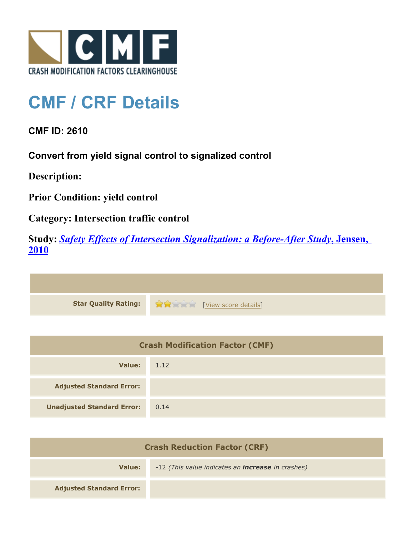

## **CMF / CRF Details**

**CMF ID: 2610**

**Convert from yield signal control to signalized control**

**Description:** 

**Prior Condition: yield control**

**Category: Intersection traffic control**

**Study:** *[Safety Effects of Intersection Signalization: a Before-After Study](http://www.cmfclearinghouse.org/study_detail.cfm?stid=170)***[, Jensen,](http://www.cmfclearinghouse.org/study_detail.cfm?stid=170) [2010](http://www.cmfclearinghouse.org/study_detail.cfm?stid=170)**



| <b>Crash Modification Factor (CMF)</b> |      |
|----------------------------------------|------|
| Value:                                 | 1.12 |
| <b>Adjusted Standard Error:</b>        |      |
| <b>Unadjusted Standard Error:</b>      | 0.14 |

| <b>Crash Reduction Factor (CRF)</b> |                                                          |
|-------------------------------------|----------------------------------------------------------|
| Value:                              | -12 (This value indicates an <b>increase</b> in crashes) |
| <b>Adjusted Standard Error:</b>     |                                                          |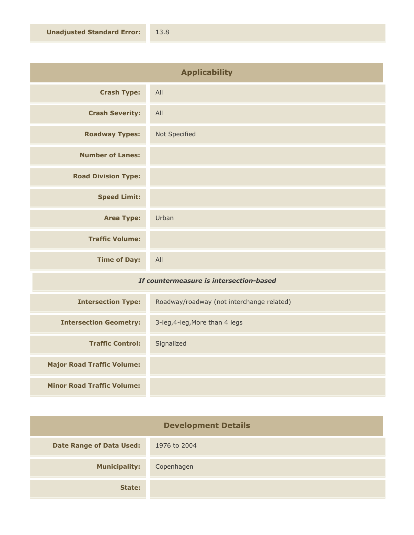| <b>Applicability</b>       |               |
|----------------------------|---------------|
| <b>Crash Type:</b>         | All           |
| <b>Crash Severity:</b>     | All           |
| <b>Roadway Types:</b>      | Not Specified |
| <b>Number of Lanes:</b>    |               |
| <b>Road Division Type:</b> |               |
| <b>Speed Limit:</b>        |               |
| <b>Area Type:</b>          | Urban         |
| <b>Traffic Volume:</b>     |               |
| <b>Time of Day:</b>        | All           |
|                            |               |

## *If countermeasure is intersection-based*

| <b>Intersection Type:</b>         | Roadway/roadway (not interchange related) |
|-----------------------------------|-------------------------------------------|
| <b>Intersection Geometry:</b>     | 3-leg, 4-leg, More than 4 legs            |
| <b>Traffic Control:</b>           | Signalized                                |
| <b>Major Road Traffic Volume:</b> |                                           |
| <b>Minor Road Traffic Volume:</b> |                                           |

| <b>Development Details</b>      |              |
|---------------------------------|--------------|
| <b>Date Range of Data Used:</b> | 1976 to 2004 |
| <b>Municipality:</b>            | Copenhagen   |
| State:                          |              |